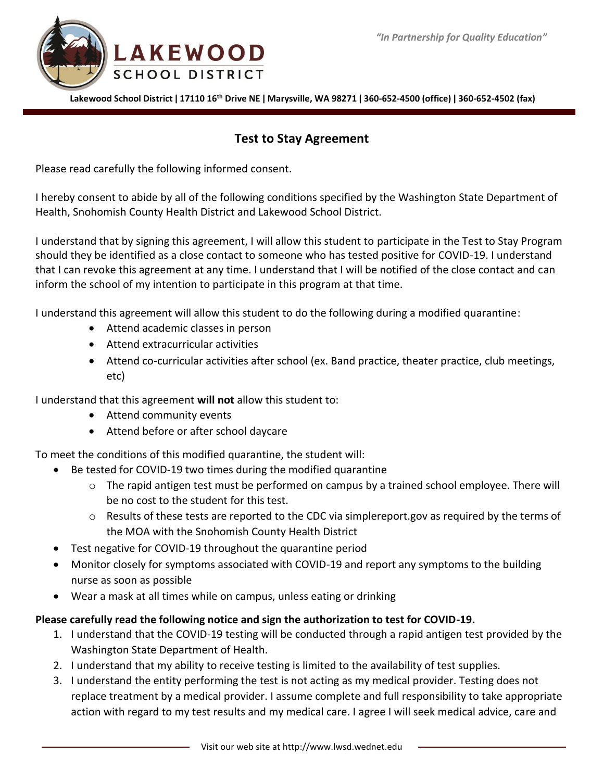



**Lakewood School District ǀ 17110 16th Drive NE ǀ Marysville, WA 98271 ǀ 360-652-4500 (office) ǀ 360-652-4502 (fax)**

## **Test to Stay Agreement**

Please read carefully the following informed consent.

I hereby consent to abide by all of the following conditions specified by the Washington State Department of Health, Snohomish County Health District and Lakewood School District.

I understand that by signing this agreement, I will allow this student to participate in the Test to Stay Program should they be identified as a close contact to someone who has tested positive for COVID-19. I understand that I can revoke this agreement at any time. I understand that I will be notified of the close contact and can inform the school of my intention to participate in this program at that time.

I understand this agreement will allow this student to do the following during a modified quarantine:

- Attend academic classes in person
- Attend extracurricular activities
- Attend co-curricular activities after school (ex. Band practice, theater practice, club meetings, etc)

I understand that this agreement **will not** allow this student to:

- Attend community events
- Attend before or after school daycare

To meet the conditions of this modified quarantine, the student will:

- Be tested for COVID-19 two times during the modified quarantine
	- o The rapid antigen test must be performed on campus by a trained school employee. There will be no cost to the student for this test.
	- o Results of these tests are reported to the CDC via simplereport.gov as required by the terms of the MOA with the Snohomish County Health District
- Test negative for COVID-19 throughout the quarantine period
- Monitor closely for symptoms associated with COVID-19 and report any symptoms to the building nurse as soon as possible
- Wear a mask at all times while on campus, unless eating or drinking

## **Please carefully read the following notice and sign the authorization to test for COVID-19.**

- 1. I understand that the COVID-19 testing will be conducted through a rapid antigen test provided by the Washington State Department of Health.
- 2. I understand that my ability to receive testing is limited to the availability of test supplies.
- 3. I understand the entity performing the test is not acting as my medical provider. Testing does not replace treatment by a medical provider. I assume complete and full responsibility to take appropriate action with regard to my test results and my medical care. I agree I will seek medical advice, care and